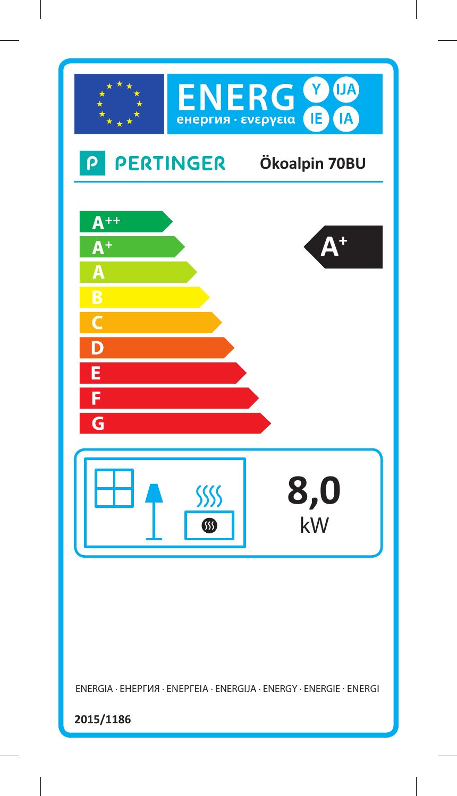

ENERGIA · ЕНЕРГИЯ · ΕΝΕΡΓΕΙΑ · ENERGIJA · ENERGY · ENERGIE · ENERGI

**2015/1186**